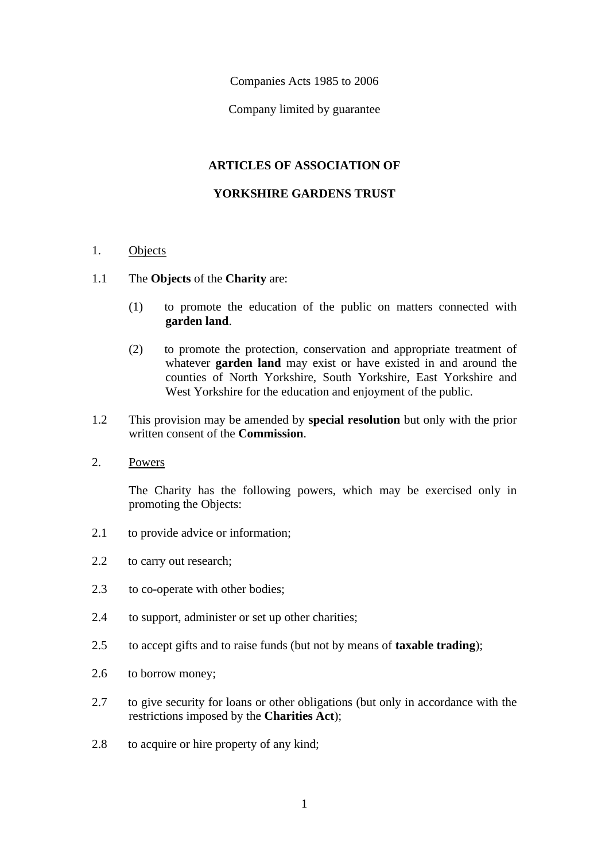Companies Acts 1985 to 2006

Company limited by guarantee

# **ARTICLES OF ASSOCIATION OF**

## **YORKSHIRE GARDENS TRUST**

### 1. Objects

### 1.1 The **Objects** of the **Charity** are:

- (1) to promote the education of the public on matters connected with **garden land**.
- (2) to promote the protection, conservation and appropriate treatment of whatever **garden land** may exist or have existed in and around the counties of North Yorkshire, South Yorkshire, East Yorkshire and West Yorkshire for the education and enjoyment of the public.
- 1.2 This provision may be amended by **special resolution** but only with the prior written consent of the **Commission**.
- 2. Powers

The Charity has the following powers, which may be exercised only in promoting the Objects:

- 2.1 to provide advice or information;
- 2.2 to carry out research;
- 2.3 to co-operate with other bodies;
- 2.4 to support, administer or set up other charities;
- 2.5 to accept gifts and to raise funds (but not by means of **taxable trading**);
- 2.6 to borrow money;
- 2.7 to give security for loans or other obligations (but only in accordance with the restrictions imposed by the **Charities Act**);
- 2.8 to acquire or hire property of any kind;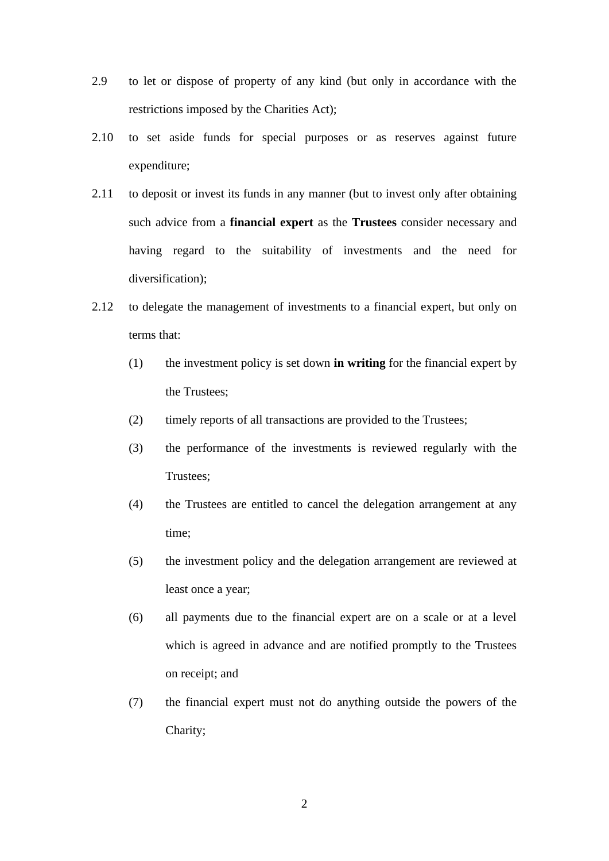- 2.9 to let or dispose of property of any kind (but only in accordance with the restrictions imposed by the Charities Act);
- 2.10 to set aside funds for special purposes or as reserves against future expenditure;
- 2.11 to deposit or invest its funds in any manner (but to invest only after obtaining such advice from a **financial expert** as the **Trustees** consider necessary and having regard to the suitability of investments and the need for diversification);
- 2.12 to delegate the management of investments to a financial expert, but only on terms that:
	- (1) the investment policy is set down **in writing** for the financial expert by the Trustees;
	- (2) timely reports of all transactions are provided to the Trustees;
	- (3) the performance of the investments is reviewed regularly with the Trustees;
	- (4) the Trustees are entitled to cancel the delegation arrangement at any time;
	- (5) the investment policy and the delegation arrangement are reviewed at least once a year;
	- (6) all payments due to the financial expert are on a scale or at a level which is agreed in advance and are notified promptly to the Trustees on receipt; and
	- (7) the financial expert must not do anything outside the powers of the Charity;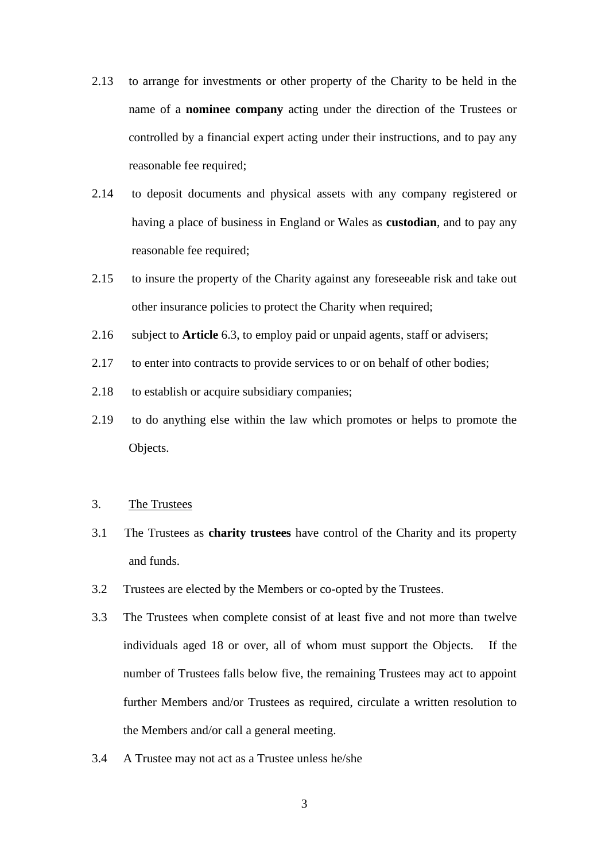- 2.13 to arrange for investments or other property of the Charity to be held in the name of a **nominee company** acting under the direction of the Trustees or controlled by a financial expert acting under their instructions, and to pay any reasonable fee required;
- 2.14 to deposit documents and physical assets with any company registered or having a place of business in England or Wales as **custodian**, and to pay any reasonable fee required;
- 2.15 to insure the property of the Charity against any foreseeable risk and take out other insurance policies to protect the Charity when required;
- 2.16 subject to **Article** 6.3, to employ paid or unpaid agents, staff or advisers;
- 2.17 to enter into contracts to provide services to or on behalf of other bodies;
- 2.18 to establish or acquire subsidiary companies;
- 2.19 to do anything else within the law which promotes or helps to promote the Objects.
- 3. The Trustees
- 3.1 The Trustees as **charity trustees** have control of the Charity and its property and funds.
- 3.2 Trustees are elected by the Members or co-opted by the Trustees.
- 3.3 The Trustees when complete consist of at least five and not more than twelve individuals aged 18 or over, all of whom must support the Objects. If the number of Trustees falls below five, the remaining Trustees may act to appoint further Members and/or Trustees as required, circulate a written resolution to the Members and/or call a general meeting.
- 3.4 A Trustee may not act as a Trustee unless he/she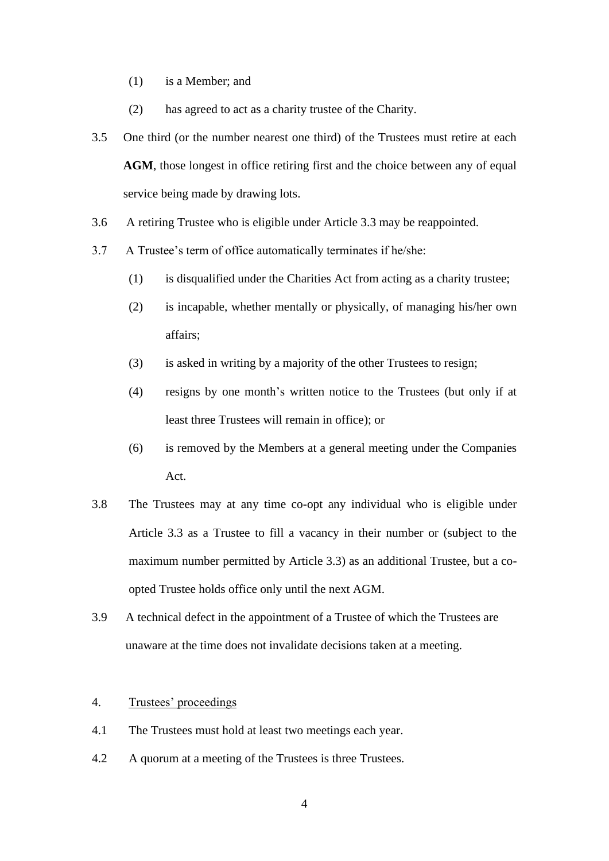- (1) is a Member; and
- (2) has agreed to act as a charity trustee of the Charity.
- 3.5 One third (or the number nearest one third) of the Trustees must retire at each AGM, those longest in office retiring first and the choice between any of equal service being made by drawing lots.
- 3.6 A retiring Trustee who is eligible under Article 3.3 may be reappointed.
- 3.7 A Trustee's term of office automatically terminates if he/she:
	- (1) is disqualified under the Charities Act from acting as a charity trustee;
	- (2) is incapable, whether mentally or physically, of managing his/her own affairs;
	- (3) is asked in writing by a majority of the other Trustees to resign;
	- (4) resigns by one month's written notice to the Trustees (but only if at least three Trustees will remain in office); or
	- (6) is removed by the Members at a general meeting under the Companies Act.
- 3.8 The Trustees may at any time co-opt any individual who is eligible under Article 3.3 as a Trustee to fill a vacancy in their number or (subject to the maximum number permitted by Article 3.3) as an additional Trustee, but a coopted Trustee holds office only until the next AGM.
- 3.9 A technical defect in the appointment of a Trustee of which the Trustees are unaware at the time does not invalidate decisions taken at a meeting.

# 4. Trustees' proceedings

- 4.1 The Trustees must hold at least two meetings each year.
- 4.2 A quorum at a meeting of the Trustees is three Trustees.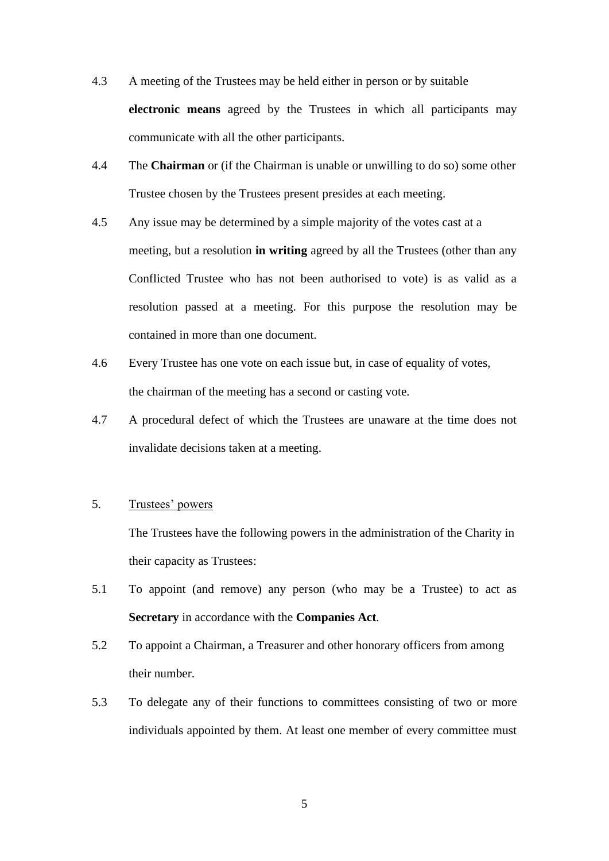- 4.3 A meeting of the Trustees may be held either in person or by suitable **electronic means** agreed by the Trustees in which all participants may communicate with all the other participants.
- 4.4 The **Chairman** or (if the Chairman is unable or unwilling to do so) some other Trustee chosen by the Trustees present presides at each meeting.
- 4.5 Any issue may be determined by a simple majority of the votes cast at a meeting, but a resolution **in writing** agreed by all the Trustees (other than any Conflicted Trustee who has not been authorised to vote) is as valid as a resolution passed at a meeting. For this purpose the resolution may be contained in more than one document.
- 4.6 Every Trustee has one vote on each issue but, in case of equality of votes, the chairman of the meeting has a second or casting vote.
- 4.7 A procedural defect of which the Trustees are unaware at the time does not invalidate decisions taken at a meeting.

## 5. Trustees' powers

The Trustees have the following powers in the administration of the Charity in their capacity as Trustees:

- 5.1 To appoint (and remove) any person (who may be a Trustee) to act as **Secretary** in accordance with the **Companies Act**.
- 5.2 To appoint a Chairman, a Treasurer and other honorary officers from among their number.
- 5.3 To delegate any of their functions to committees consisting of two or more individuals appointed by them. At least one member of every committee must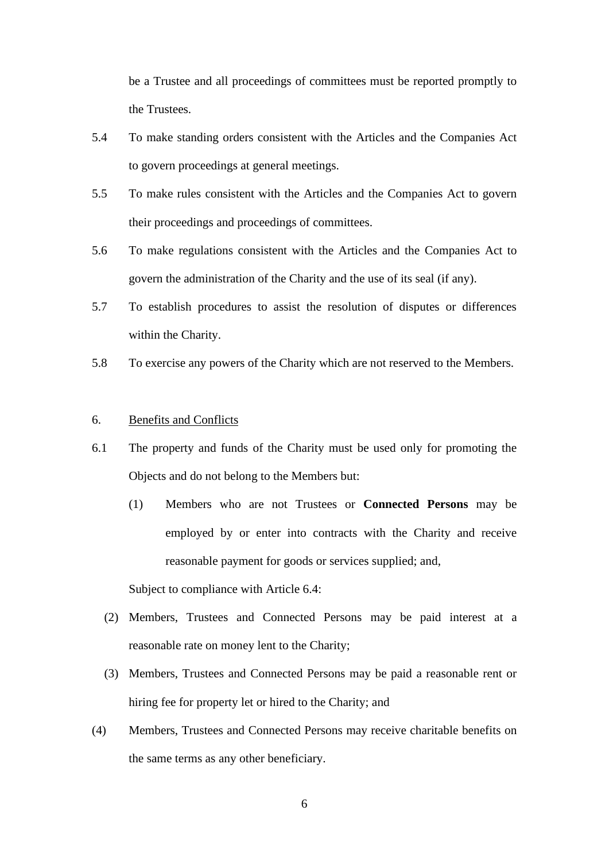be a Trustee and all proceedings of committees must be reported promptly to the Trustees.

- 5.4 To make standing orders consistent with the Articles and the Companies Act to govern proceedings at general meetings.
- 5.5 To make rules consistent with the Articles and the Companies Act to govern their proceedings and proceedings of committees.
- 5.6 To make regulations consistent with the Articles and the Companies Act to govern the administration of the Charity and the use of its seal (if any).
- 5.7 To establish procedures to assist the resolution of disputes or differences within the Charity.
- 5.8 To exercise any powers of the Charity which are not reserved to the Members.

## 6. Benefits and Conflicts

- 6.1 The property and funds of the Charity must be used only for promoting the Objects and do not belong to the Members but:
	- (1) Members who are not Trustees or **Connected Persons** may be employed by or enter into contracts with the Charity and receive reasonable payment for goods or services supplied; and,

Subject to compliance with Article 6.4:

- (2) Members, Trustees and Connected Persons may be paid interest at a reasonable rate on money lent to the Charity;
- (3) Members, Trustees and Connected Persons may be paid a reasonable rent or hiring fee for property let or hired to the Charity; and
- (4) Members, Trustees and Connected Persons may receive charitable benefits on the same terms as any other beneficiary.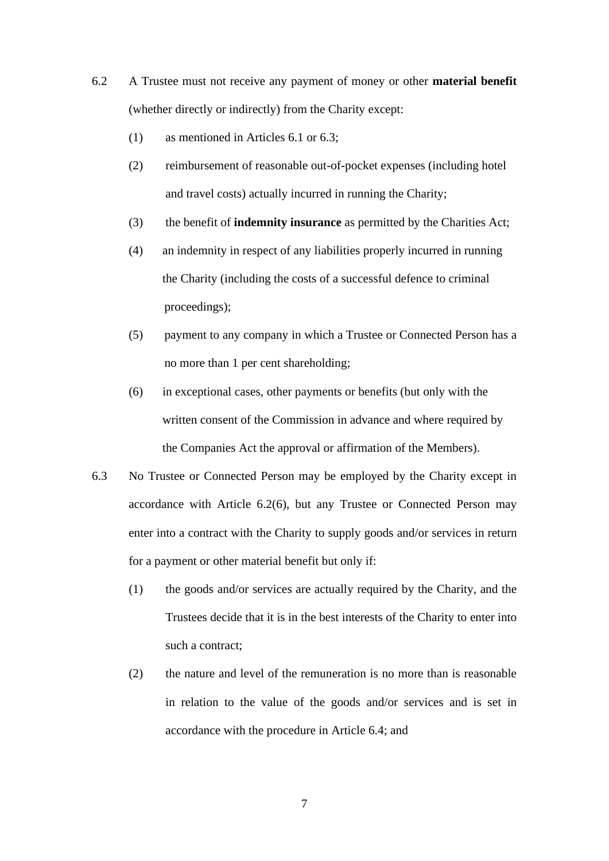- 6.2 A Trustee must not receive any payment of money or other **material benefit** (whether directly or indirectly) from the Charity except:
	- (1) as mentioned in Articles 6.1 or 6.3;
	- (2) reimbursement of reasonable out-of-pocket expenses (including hotel and travel costs) actually incurred in running the Charity;
	- (3) the benefit of **indemnity insurance** as permitted by the Charities Act;
	- (4) an indemnity in respect of any liabilities properly incurred in running the Charity (including the costs of a successful defence to criminal proceedings);
	- (5) payment to any company in which a Trustee or Connected Person has a no more than 1 per cent shareholding;
	- (6) in exceptional cases, other payments or benefits (but only with the written consent of the Commission in advance and where required by the Companies Act the approval or affirmation of the Members).
- 6.3 No Trustee or Connected Person may be employed by the Charity except in accordance with Article 6.2(6), but any Trustee or Connected Person may enter into a contract with the Charity to supply goods and/or services in return for a payment or other material benefit but only if:
	- (1) the goods and/or services are actually required by the Charity, and the Trustees decide that it is in the best interests of the Charity to enter into such a contract;
	- (2) the nature and level of the remuneration is no more than is reasonable in relation to the value of the goods and/or services and is set in accordance with the procedure in Article 6.4; and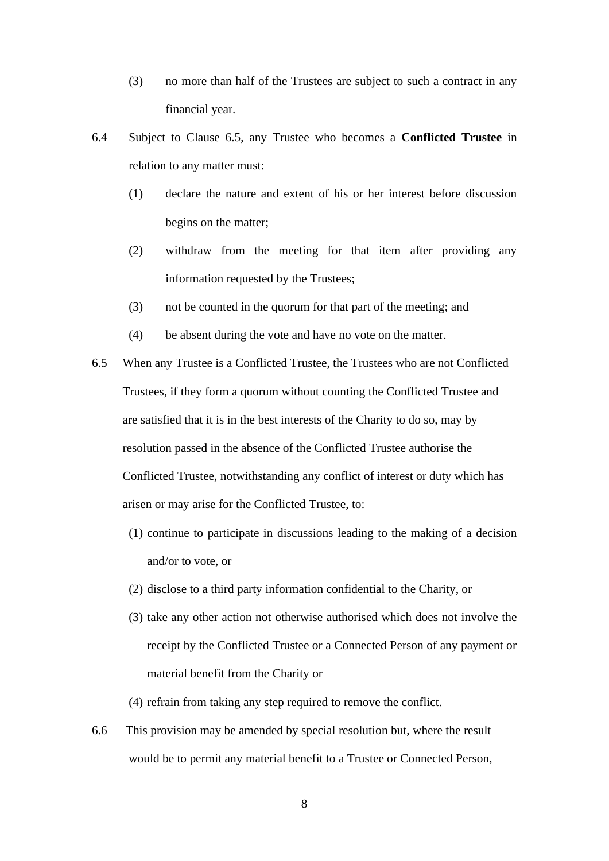- (3) no more than half of the Trustees are subject to such a contract in any financial year.
- 6.4 Subject to Clause 6.5, any Trustee who becomes a **Conflicted Trustee** in relation to any matter must:
	- (1) declare the nature and extent of his or her interest before discussion begins on the matter;
	- (2) withdraw from the meeting for that item after providing any information requested by the Trustees;
	- (3) not be counted in the quorum for that part of the meeting; and
	- (4) be absent during the vote and have no vote on the matter.
- 6.5 When any Trustee is a Conflicted Trustee, the Trustees who are not Conflicted Trustees, if they form a quorum without counting the Conflicted Trustee and are satisfied that it is in the best interests of the Charity to do so, may by resolution passed in the absence of the Conflicted Trustee authorise the Conflicted Trustee, notwithstanding any conflict of interest or duty which has arisen or may arise for the Conflicted Trustee, to:
	- (1) continue to participate in discussions leading to the making of a decision and/or to vote, or
	- (2) disclose to a third party information confidential to the Charity, or
	- (3) take any other action not otherwise authorised which does not involve the receipt by the Conflicted Trustee or a Connected Person of any payment or material benefit from the Charity or
	- (4) refrain from taking any step required to remove the conflict.
- 6.6 This provision may be amended by special resolution but, where the result would be to permit any material benefit to a Trustee or Connected Person,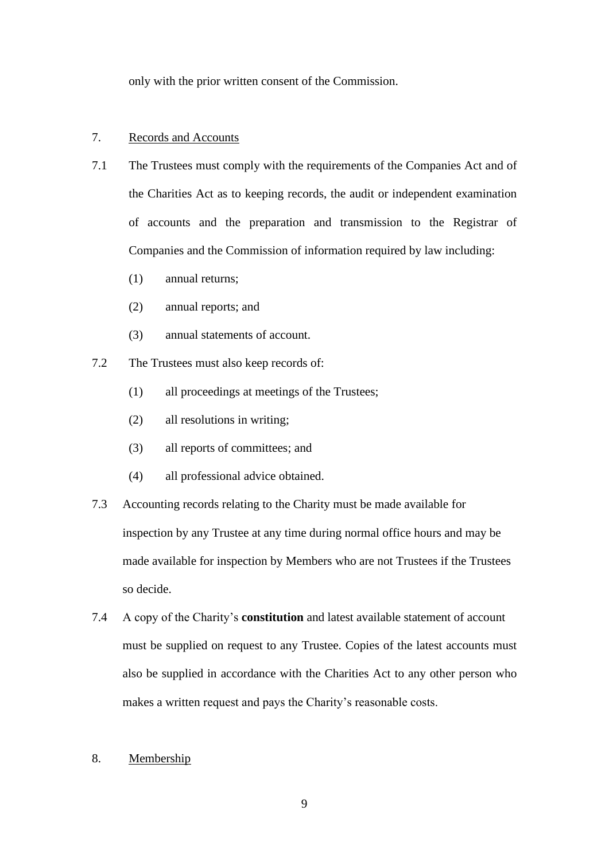only with the prior written consent of the Commission.

### 7. Records and Accounts

- 7.1 The Trustees must comply with the requirements of the Companies Act and of the Charities Act as to keeping records, the audit or independent examination of accounts and the preparation and transmission to the Registrar of Companies and the Commission of information required by law including:
	- (1) annual returns;
	- (2) annual reports; and
	- (3) annual statements of account.
- 7.2 The Trustees must also keep records of:
	- (1) all proceedings at meetings of the Trustees;
	- (2) all resolutions in writing;
	- (3) all reports of committees; and
	- (4) all professional advice obtained.
- 7.3 Accounting records relating to the Charity must be made available for inspection by any Trustee at any time during normal office hours and may be made available for inspection by Members who are not Trustees if the Trustees so decide.
- 7.4 A copy of the Charity's **constitution** and latest available statement of account must be supplied on request to any Trustee. Copies of the latest accounts must also be supplied in accordance with the Charities Act to any other person who makes a written request and pays the Charity's reasonable costs.
- 8. Membership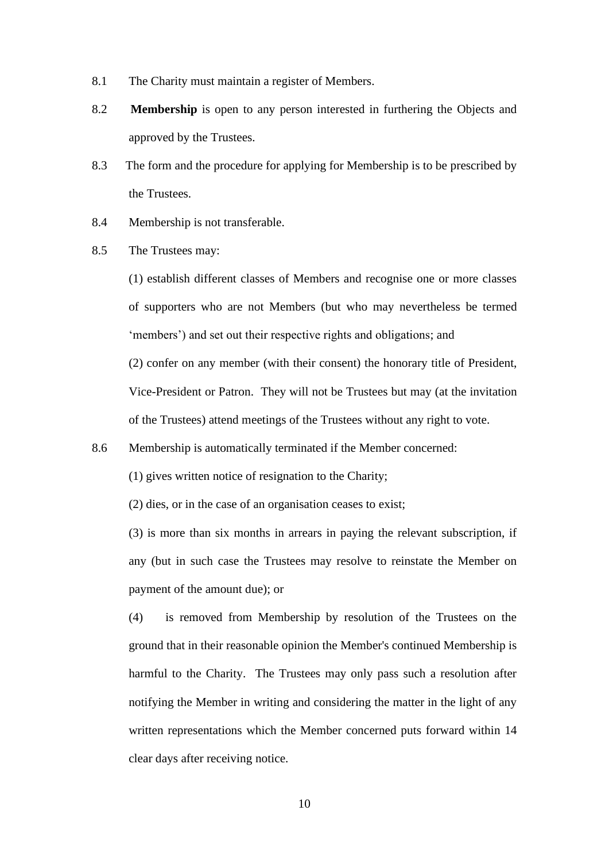- 8.1 The Charity must maintain a register of Members.
- 8.2 **Membership** is open to any person interested in furthering the Objects and approved by the Trustees*.*
- 8.3 The form and the procedure for applying for Membership is to be prescribed by the Trustees.
- 8.4 Membership is not transferable.
- 8.5 The Trustees may:

(1) establish different classes of Members and recognise one or more classes of supporters who are not Members (but who may nevertheless be termed 'members') and set out their respective rights and obligations; and

(2) confer on any member (with their consent) the honorary title of President, Vice-President or Patron. They will not be Trustees but may (at the invitation of the Trustees) attend meetings of the Trustees without any right to vote.

- 8.6 Membership is automatically terminated if the Member concerned:
	- (1) gives written notice of resignation to the Charity;
	- (2) dies, or in the case of an organisation ceases to exist;

(3) is more than six months in arrears in paying the relevant subscription, if any (but in such case the Trustees may resolve to reinstate the Member on payment of the amount due); or

(4) is removed from Membership by resolution of the Trustees on the ground that in their reasonable opinion the Member's continued Membership is harmful to the Charity. The Trustees may only pass such a resolution after notifying the Member in writing and considering the matter in the light of any written representations which the Member concerned puts forward within 14 clear days after receiving notice.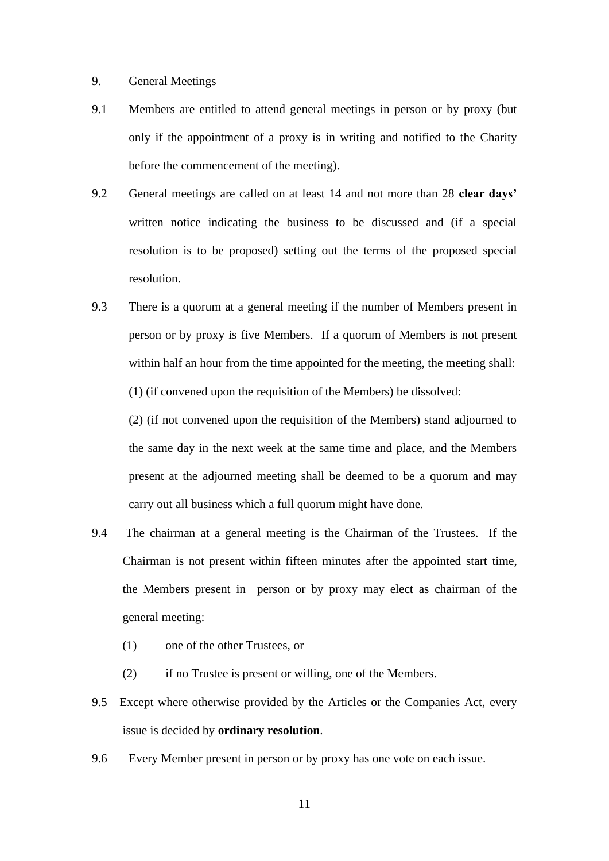#### 9. General Meetings

- 9.1 Members are entitled to attend general meetings in person or by proxy (but only if the appointment of a proxy is in writing and notified to the Charity before the commencement of the meeting).
- 9.2 General meetings are called on at least 14 and not more than 28 **clear days'** written notice indicating the business to be discussed and (if a special resolution is to be proposed) setting out the terms of the proposed special resolution.
- 9.3 There is a quorum at a general meeting if the number of Members present in person or by proxy is five Members. If a quorum of Members is not present within half an hour from the time appointed for the meeting, the meeting shall: (1) (if convened upon the requisition of the Members) be dissolved:

(2) (if not convened upon the requisition of the Members) stand adjourned to the same day in the next week at the same time and place, and the Members present at the adjourned meeting shall be deemed to be a quorum and may carry out all business which a full quorum might have done.

- 9.4 The chairman at a general meeting is the Chairman of the Trustees. If the Chairman is not present within fifteen minutes after the appointed start time, the Members present in person or by proxy may elect as chairman of the general meeting:
	- (1) one of the other Trustees, or
	- (2) if no Trustee is present or willing, one of the Members.
- 9.5 Except where otherwise provided by the Articles or the Companies Act, every issue is decided by **ordinary resolution**.
- 9.6 Every Member present in person or by proxy has one vote on each issue.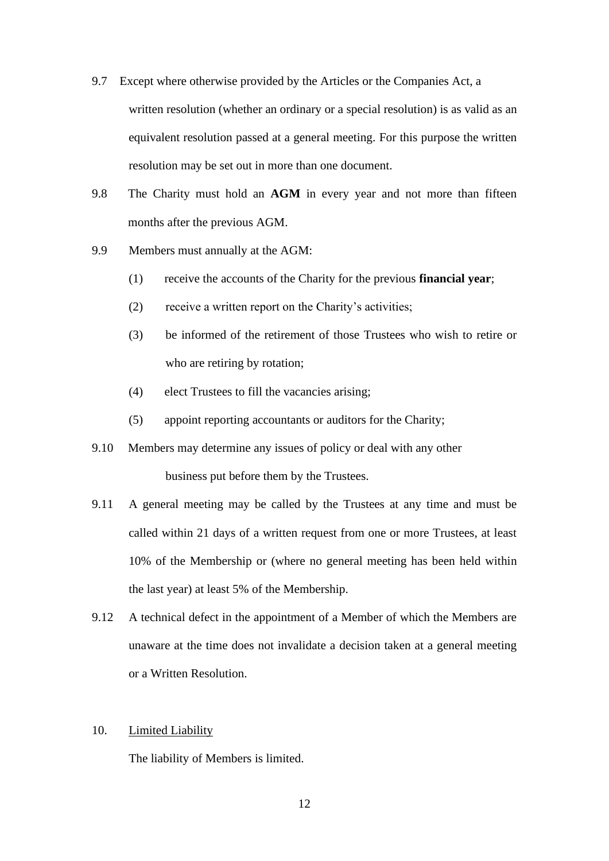- 9.7 Except where otherwise provided by the Articles or the Companies Act, a written resolution (whether an ordinary or a special resolution) is as valid as an equivalent resolution passed at a general meeting. For this purpose the written resolution may be set out in more than one document.
- 9.8 The Charity must hold an **AGM** in every year and not more than fifteen months after the previous AGM.
- 9.9 Members must annually at the AGM:
	- (1) receive the accounts of the Charity for the previous **financial year**;
	- (2)receive a written report on the Charity's activities;
	- (3) be informed of the retirement of those Trustees who wish to retire or who are retiring by rotation;
	- (4) elect Trustees to fill the vacancies arising;
	- (5) appoint reporting accountants or auditors for the Charity;
- 9.10 Members may determine any issues of policy or deal with any other business put before them by the Trustees.
- 9.11 A general meeting may be called by the Trustees at any time and must be called within 21 days of a written request from one or more Trustees, at least 10% of the Membership or (where no general meeting has been held within the last year) at least 5% of the Membership.
- 9.12 A technical defect in the appointment of a Member of which the Members are unaware at the time does not invalidate a decision taken at a general meeting or a Written Resolution.

#### 10. Limited Liability

The liability of Members is limited.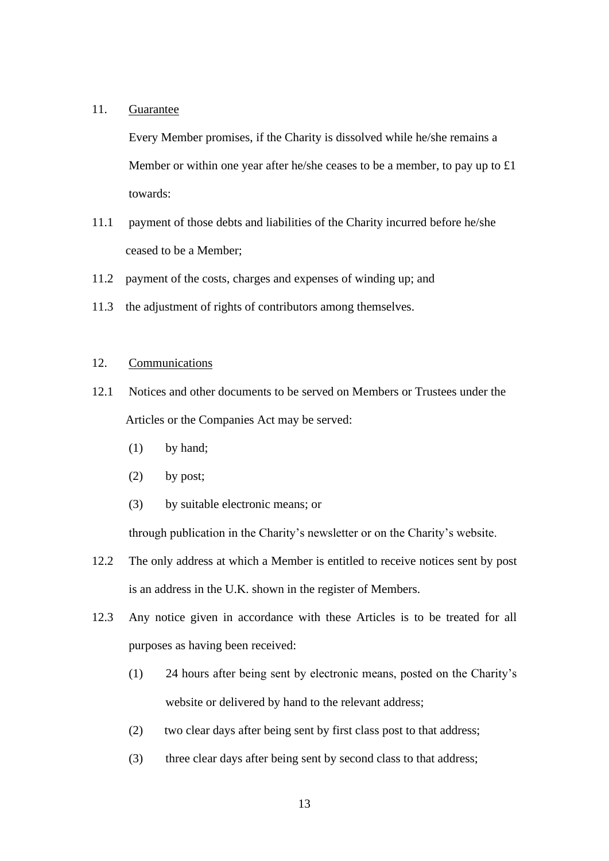### 11. Guarantee

Every Member promises, if the Charity is dissolved while he/she remains a Member or within one year after he/she ceases to be a member, to pay up to £1 towards:

- 11.1 payment of those debts and liabilities of the Charity incurred before he/she ceased to be a Member;
- 11.2 payment of the costs, charges and expenses of winding up; and
- 11.3 the adjustment of rights of contributors among themselves.

### 12. Communications

- 12.1 Notices and other documents to be served on Members or Trustees under the Articles or the Companies Act may be served:
	- (1) by hand;
	- (2) by post;
	- (3) by suitable electronic means; or

through publication in the Charity's newsletter or on the Charity's website.

- 12.2 The only address at which a Member is entitled to receive notices sent by post is an address in the U.K. shown in the register of Members.
- 12.3 Any notice given in accordance with these Articles is to be treated for all purposes as having been received:
	- (1) 24 hours after being sent by electronic means, posted on the Charity's website or delivered by hand to the relevant address;
	- (2) two clear days after being sent by first class post to that address;
	- (3) three clear days after being sent by second class to that address;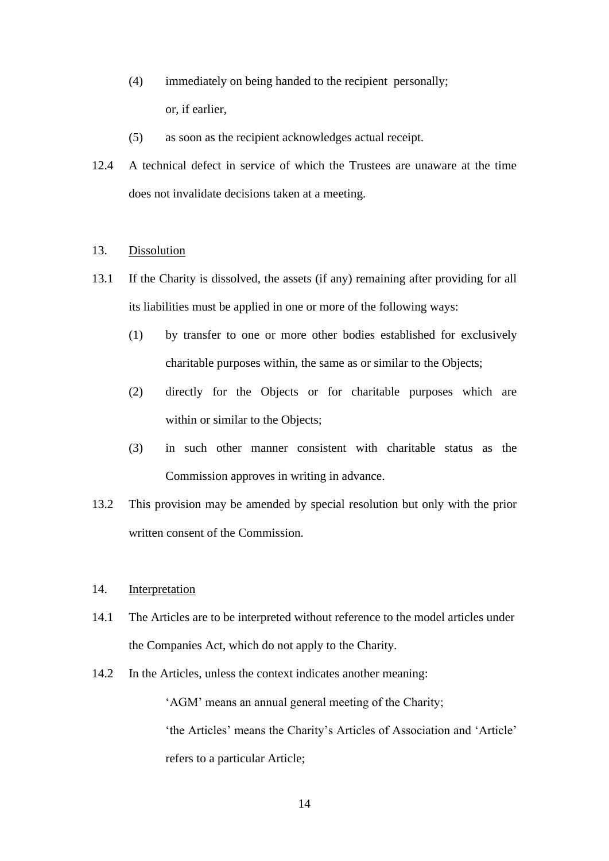- (4) immediately on being handed to the recipient personally; or, if earlier,
- (5) as soon as the recipient acknowledges actual receipt.
- 12.4 A technical defect in service of which the Trustees are unaware at the time does not invalidate decisions taken at a meeting.

#### 13. Dissolution

- 13.1 If the Charity is dissolved, the assets (if any) remaining after providing for all its liabilities must be applied in one or more of the following ways:
	- (1) by transfer to one or more other bodies established for exclusively charitable purposes within, the same as or similar to the Objects;
	- (2) directly for the Objects or for charitable purposes which are within or similar to the Objects;
	- (3) in such other manner consistent with charitable status as the Commission approves in writing in advance.
- 13.2 This provision may be amended by special resolution but only with the prior written consent of the Commission.

### 14. Interpretation

- 14.1 The Articles are to be interpreted without reference to the model articles under the Companies Act, which do not apply to the Charity.
- 14.2 In the Articles, unless the context indicates another meaning:

'AGM' means an annual general meeting of the Charity; 'the Articles' means the Charity's Articles of Association and 'Article' refers to a particular Article;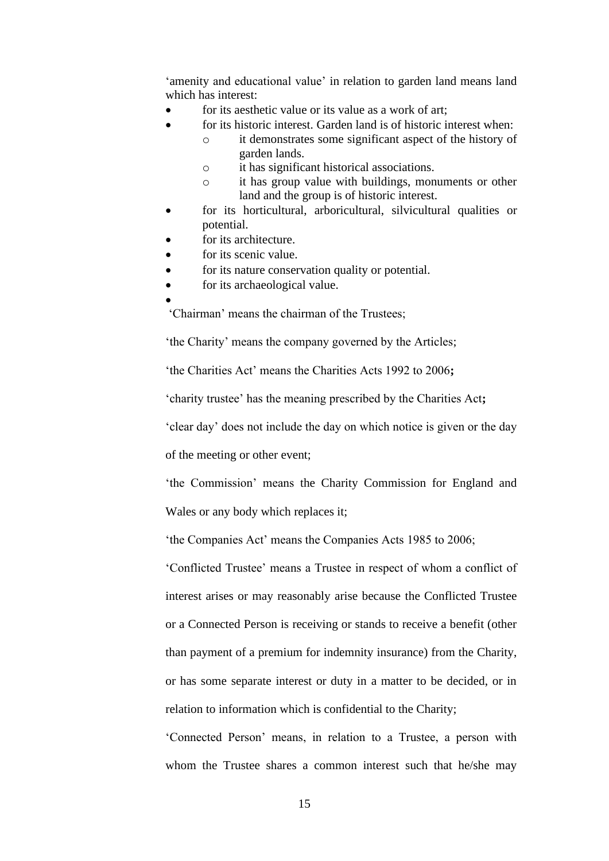'amenity and educational value' in relation to garden land means land which has interest:

- for its aesthetic value or its value as a work of art:
- for its historic interest. Garden land is of historic interest when:
	- o it demonstrates some significant aspect of the history of garden lands.
	- o it has significant historical associations.
	- o it has group value with buildings, monuments or other land and the group is of historic interest.
- for its horticultural, arboricultural, silvicultural qualities or potential.
- for its architecture.
- for its scenic value.
- for its nature conservation quality or potential.
- for its archaeological value.
- •

'Chairman' means the chairman of the Trustees;

'the Charity' means the company governed by the Articles;

'the Charities Act' means the Charities Acts 1992 to 2006**;**

'charity trustee' has the meaning prescribed by the Charities Act**;** 

'clear day' does not include the day on which notice is given or the day

of the meeting or other event;

'the Commission' means the Charity Commission for England and Wales or any body which replaces it;

'the Companies Act' means the Companies Acts 1985 to 2006;

'Conflicted Trustee' means a Trustee in respect of whom a conflict of interest arises or may reasonably arise because the Conflicted Trustee or a Connected Person is receiving or stands to receive a benefit (other than payment of a premium for indemnity insurance) from the Charity, or has some separate interest or duty in a matter to be decided, or in relation to information which is confidential to the Charity;

'Connected Person' means, in relation to a Trustee, a person with whom the Trustee shares a common interest such that he/she may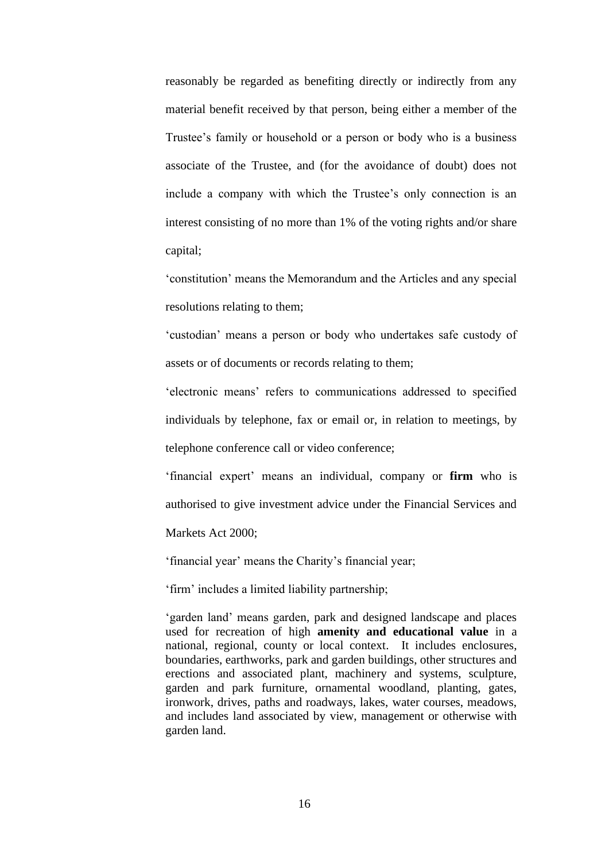reasonably be regarded as benefiting directly or indirectly from any material benefit received by that person, being either a member of the Trustee's family or household or a person or body who is a business associate of the Trustee, and (for the avoidance of doubt) does not include a company with which the Trustee's only connection is an interest consisting of no more than 1% of the voting rights and/or share capital;

'constitution' means the Memorandum and the Articles and any special resolutions relating to them;

'custodian' means a person or body who undertakes safe custody of assets or of documents or records relating to them;

'electronic means' refers to communications addressed to specified individuals by telephone, fax or email or, in relation to meetings, by telephone conference call or video conference;

'financial expert' means an individual, company or **firm** who is authorised to give investment advice under the Financial Services and

Markets Act 2000;

'financial year' means the Charity's financial year;

'firm' includes a limited liability partnership;

'garden land' means garden, park and designed landscape and places used for recreation of high **amenity and educational value** in a national, regional, county or local context. It includes enclosures, boundaries, earthworks, park and garden buildings, other structures and erections and associated plant, machinery and systems, sculpture, garden and park furniture, ornamental woodland, planting, gates, ironwork, drives, paths and roadways, lakes, water courses, meadows, and includes land associated by view, management or otherwise with garden land.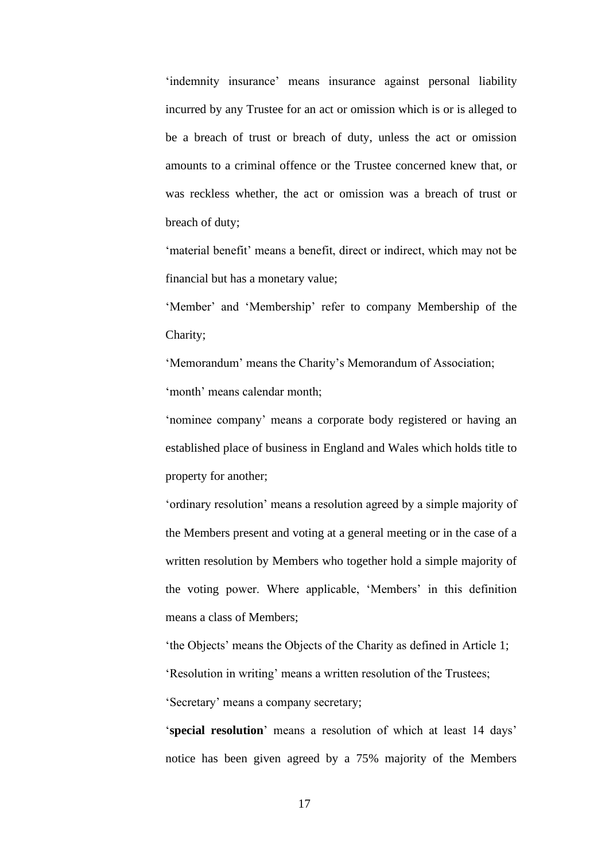'indemnity insurance' means insurance against personal liability incurred by any Trustee for an act or omission which is or is alleged to be a breach of trust or breach of duty, unless the act or omission amounts to a criminal offence or the Trustee concerned knew that, or was reckless whether, the act or omission was a breach of trust or breach of duty;

'material benefit' means a benefit, direct or indirect, which may not be financial but has a monetary value;

'Member' and 'Membership' refer to company Membership of the Charity;

'Memorandum' means the Charity's Memorandum of Association; 'month' means calendar month;

'nominee company' means a corporate body registered or having an established place of business in England and Wales which holds title to property for another;

'ordinary resolution' means a resolution agreed by a simple majority of the Members present and voting at a general meeting or in the case of a written resolution by Members who together hold a simple majority of the voting power. Where applicable, 'Members' in this definition means a class of Members;

'the Objects' means the Objects of the Charity as defined in Article 1; 'Resolution in writing' means a written resolution of the Trustees; 'Secretary' means a company secretary;

'**special resolution**' means a resolution of which at least 14 days' notice has been given agreed by a 75% majority of the Members